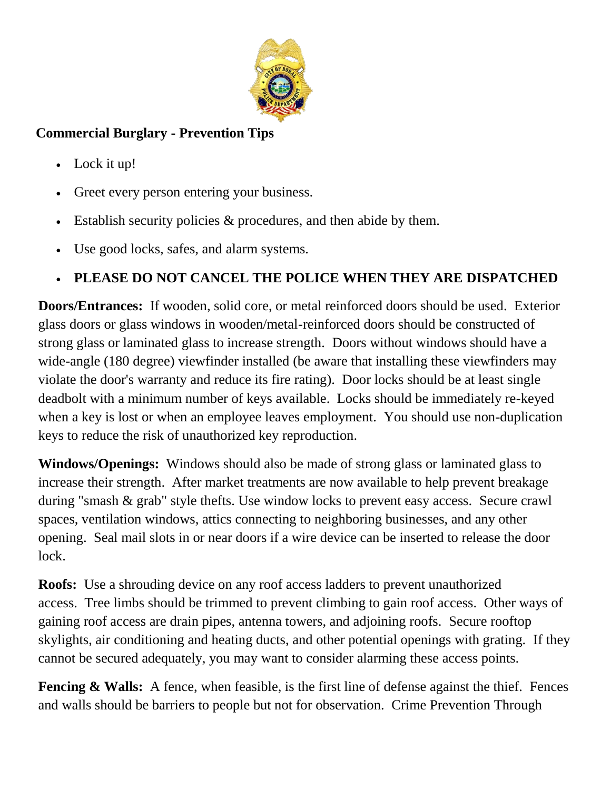

## **Commercial Burglary - Prevention Tips**

- Lock it up!
- Greet every person entering your business.
- Establish security policies & procedures, and then abide by them.
- Use good locks, safes, and alarm systems.

## **PLEASE DO NOT CANCEL THE POLICE WHEN THEY ARE DISPATCHED**

**Doors/Entrances:** If wooden, solid core, or metal reinforced doors should be used. Exterior glass doors or glass windows in wooden/metal-reinforced doors should be constructed of strong glass or laminated glass to increase strength. Doors without windows should have a wide-angle (180 degree) viewfinder installed (be aware that installing these viewfinders may violate the door's warranty and reduce its fire rating). Door locks should be at least single deadbolt with a minimum number of keys available. Locks should be immediately re-keyed when a key is lost or when an employee leaves employment. You should use non-duplication keys to reduce the risk of unauthorized key reproduction.

**Windows/Openings:** Windows should also be made of strong glass or laminated glass to increase their strength. After market treatments are now available to help prevent breakage during "smash & grab" style thefts. Use window locks to prevent easy access. Secure crawl spaces, ventilation windows, attics connecting to neighboring businesses, and any other opening. Seal mail slots in or near doors if a wire device can be inserted to release the door lock.

**Roofs:** Use a shrouding device on any roof access ladders to prevent unauthorized access. Tree limbs should be trimmed to prevent climbing to gain roof access. Other ways of gaining roof access are drain pipes, antenna towers, and adjoining roofs. Secure rooftop skylights, air conditioning and heating ducts, and other potential openings with grating. If they cannot be secured adequately, you may want to consider alarming these access points.

**Fencing & Walls:** A fence, when feasible, is the first line of defense against the thief. Fences and walls should be barriers to people but not for observation. Crime Prevention Through